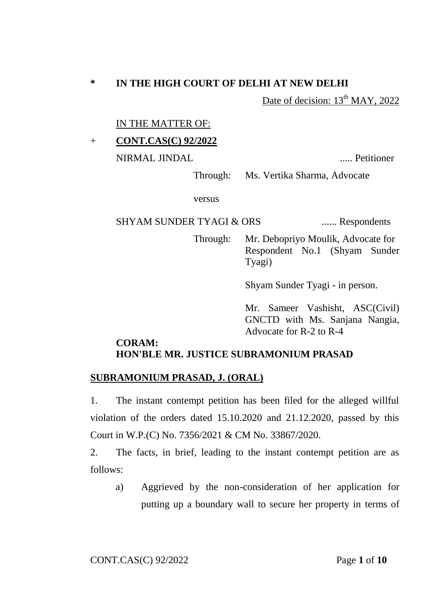## **\* IN THE HIGH COURT OF DELHI AT NEW DELHI**

Date of decision:  $13<sup>th</sup>$  MAY, 2022

IN THE MATTER OF:

## + **CONT.CAS(C) 92/2022**

NIRMAL JINDAL ..... Petitioner

Through: Ms. Vertika Sharma, Advocate

versus

### SHYAM SUNDER TYAGI & ORS ....... Respondents

Through: Mr. Debopriyo Moulik, Advocate for Respondent No.1 (Shyam Sunder Tyagi)

Shyam Sunder Tyagi - in person.

Mr. Sameer Vashisht, ASC(Civil) GNCTD with Ms. Sanjana Nangia, Advocate for R-2 to R-4

### **CORAM: HON'BLE MR. JUSTICE SUBRAMONIUM PRASAD**

#### **SUBRAMONIUM PRASAD, J. (ORAL)**

1. The instant contempt petition has been filed for the alleged willful violation of the orders dated 15.10.2020 and 21.12.2020, passed by this Court in W.P.(C) No. 7356/2021 & CM No. 33867/2020.

2. The facts, in brief, leading to the instant contempt petition are as follows:

a) Aggrieved by the non-consideration of her application for putting up a boundary wall to secure her property in terms of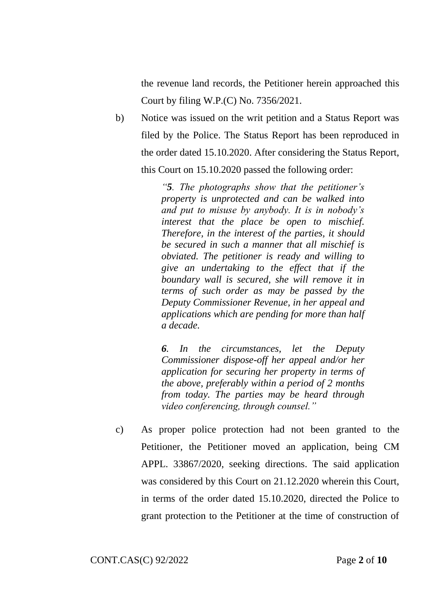the revenue land records, the Petitioner herein approached this Court by filing W.P.(C) No. 7356/2021.

b) Notice was issued on the writ petition and a Status Report was filed by the Police. The Status Report has been reproduced in the order dated 15.10.2020. After considering the Status Report, this Court on 15.10.2020 passed the following order:

> *"5. The photographs show that the petitioner's property is unprotected and can be walked into and put to misuse by anybody. It is in nobody's interest that the place be open to mischief. Therefore, in the interest of the parties, it should be secured in such a manner that all mischief is obviated. The petitioner is ready and willing to give an undertaking to the effect that if the boundary wall is secured, she will remove it in terms of such order as may be passed by the Deputy Commissioner Revenue, in her appeal and applications which are pending for more than half a decade.*

> *6. In the circumstances, let the Deputy Commissioner dispose-off her appeal and/or her application for securing her property in terms of the above, preferably within a period of 2 months from today. The parties may be heard through video conferencing, through counsel."*

c) As proper police protection had not been granted to the Petitioner, the Petitioner moved an application, being CM APPL. 33867/2020, seeking directions. The said application was considered by this Court on 21.12.2020 wherein this Court, in terms of the order dated 15.10.2020, directed the Police to grant protection to the Petitioner at the time of construction of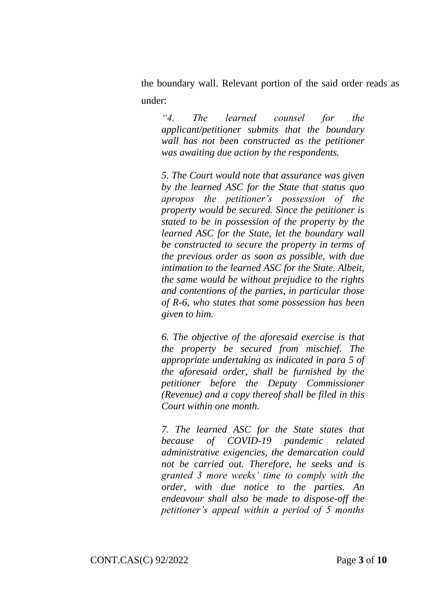the boundary wall. Relevant portion of the said order reads as under:

*"4. The learned counsel for the applicant/petitioner submits that the boundary wall has not been constructed as the petitioner was awaiting due action by the respondents.* 

*5. The Court would note that assurance was given by the learned ASC for the State that status quo apropos the petitioner's possession of the property would be secured. Since the petitioner is stated to be in possession of the property by the learned ASC for the State, let the boundary wall be constructed to secure the property in terms of the previous order as soon as possible, with due intimation to the learned ASC for the State. Albeit, the same would be without prejudice to the rights and contentions of the parties, in particular those of R-6, who states that some possession has been given to him.* 

*6. The objective of the aforesaid exercise is that the property be secured from mischief. The appropriate undertaking as indicated in para 5 of the aforesaid order, shall be furnished by the petitioner before the Deputy Commissioner (Revenue) and a copy thereof shall be filed in this Court within one month.* 

*7. The learned ASC for the State states that because of COVID-19 pandemic related administrative exigencies, the demarcation could not be carried out. Therefore, he seeks and is granted 3 more weeks' time to comply with the order, with due notice to the parties. An endeavour shall also be made to dispose-off the petitioner's appeal within a period of 5 months*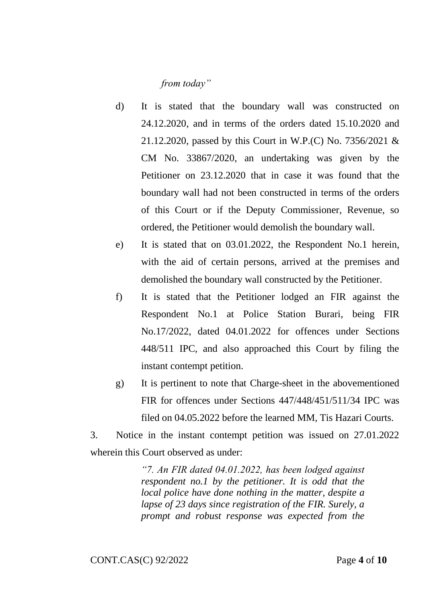# *from today"*

- d) It is stated that the boundary wall was constructed on 24.12.2020, and in terms of the orders dated 15.10.2020 and 21.12.2020, passed by this Court in W.P.(C) No. 7356/2021 & CM No. 33867/2020, an undertaking was given by the Petitioner on 23.12.2020 that in case it was found that the boundary wall had not been constructed in terms of the orders of this Court or if the Deputy Commissioner, Revenue, so ordered, the Petitioner would demolish the boundary wall.
- e) It is stated that on 03.01.2022, the Respondent No.1 herein, with the aid of certain persons, arrived at the premises and demolished the boundary wall constructed by the Petitioner.
- f) It is stated that the Petitioner lodged an FIR against the Respondent No.1 at Police Station Burari, being FIR No.17/2022, dated 04.01.2022 for offences under Sections 448/511 IPC, and also approached this Court by filing the instant contempt petition.
- g) It is pertinent to note that Charge-sheet in the abovementioned FIR for offences under Sections 447/448/451/511/34 IPC was filed on 04.05.2022 before the learned MM, Tis Hazari Courts.

3. Notice in the instant contempt petition was issued on 27.01.2022 wherein this Court observed as under:

> *"7. An FIR dated 04.01.2022, has been lodged against respondent no.1 by the petitioner. It is odd that the local police have done nothing in the matter, despite a lapse of 23 days since registration of the FIR. Surely, a prompt and robust response was expected from the*

CONT.CAS(C) 92/2022 Page **4** of **10**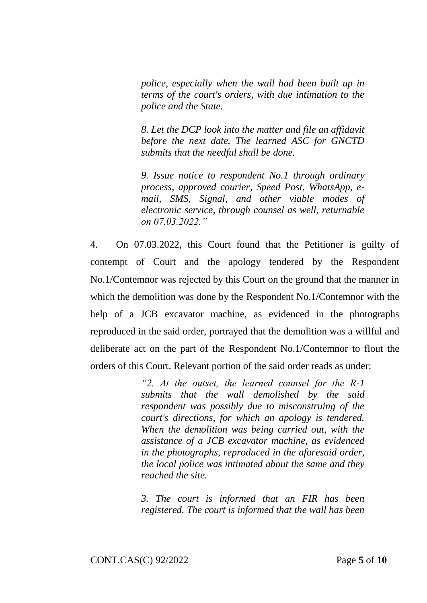*police, especially when the wall had been built up in terms of the court's orders, with due intimation to the police and the State.* 

*8. Let the DCP look into the matter and file an affidavit before the next date. The learned ASC for GNCTD submits that the needful shall be done.* 

*9. Issue notice to respondent No.1 through ordinary process, approved courier, Speed Post, WhatsApp, email, SMS, Signal, and other viable modes of electronic service, through counsel as well, returnable on 07.03.2022."* 

4. On 07.03.2022, this Court found that the Petitioner is guilty of contempt of Court and the apology tendered by the Respondent No.1/Contemnor was rejected by this Court on the ground that the manner in which the demolition was done by the Respondent No.1/Contemnor with the help of a JCB excavator machine, as evidenced in the photographs reproduced in the said order, portrayed that the demolition was a willful and deliberate act on the part of the Respondent No.1/Contemnor to flout the orders of this Court. Relevant portion of the said order reads as under:

> *"2. At the outset, the learned counsel for the R-1 submits that the wall demolished by the said respondent was possibly due to misconstruing of the court's directions, for which an apology is tendered. When the demolition was being carried out, with the assistance of a JCB excavator machine, as evidenced in the photographs, reproduced in the aforesaid order, the local police was intimated about the same and they reached the site.*

> *3. The court is informed that an FIR has been registered. The court is informed that the wall has been*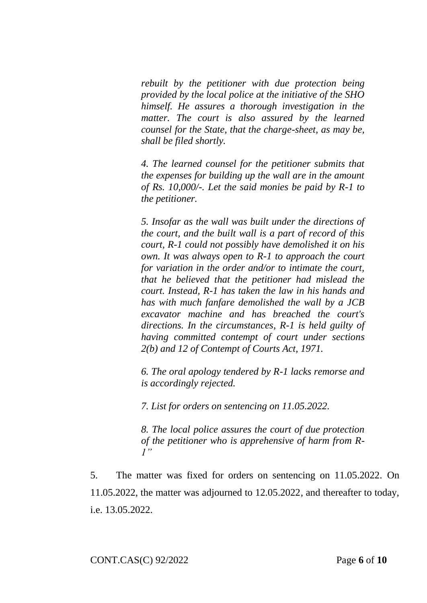*rebuilt by the petitioner with due protection being provided by the local police at the initiative of the SHO himself. He assures a thorough investigation in the matter. The court is also assured by the learned counsel for the State, that the charge-sheet, as may be, shall be filed shortly.* 

*4. The learned counsel for the petitioner submits that the expenses for building up the wall are in the amount of Rs. 10,000/-. Let the said monies be paid by R-1 to the petitioner.* 

*5. Insofar as the wall was built under the directions of the court, and the built wall is a part of record of this court, R-1 could not possibly have demolished it on his own. It was always open to R-1 to approach the court for variation in the order and/or to intimate the court, that he believed that the petitioner had mislead the court. Instead, R-1 has taken the law in his hands and has with much fanfare demolished the wall by a JCB excavator machine and has breached the court's directions. In the circumstances, R-1 is held guilty of having committed contempt of court under sections 2(b) and 12 of Contempt of Courts Act, 1971.* 

*6. The oral apology tendered by R-1 lacks remorse and is accordingly rejected.* 

*7. List for orders on sentencing on 11.05.2022.* 

*8. The local police assures the court of due protection of the petitioner who is apprehensive of harm from R-1"*

5. The matter was fixed for orders on sentencing on 11.05.2022. On 11.05.2022, the matter was adjourned to 12.05.2022, and thereafter to today, i.e. 13.05.2022.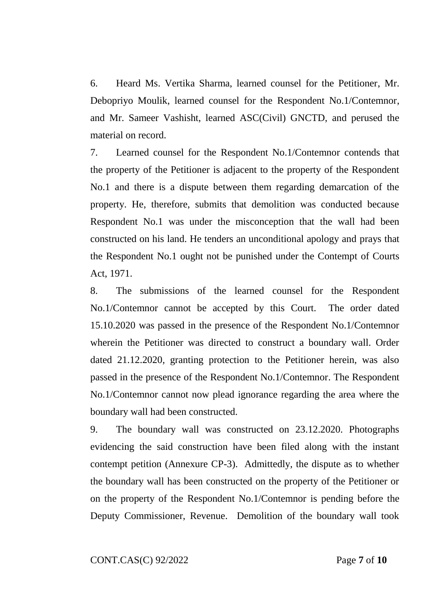6. Heard Ms. Vertika Sharma, learned counsel for the Petitioner, Mr. Debopriyo Moulik, learned counsel for the Respondent No.1/Contemnor, and Mr. Sameer Vashisht, learned ASC(Civil) GNCTD, and perused the material on record.

7. Learned counsel for the Respondent No.1/Contemnor contends that the property of the Petitioner is adjacent to the property of the Respondent No.1 and there is a dispute between them regarding demarcation of the property. He, therefore, submits that demolition was conducted because Respondent No.1 was under the misconception that the wall had been constructed on his land. He tenders an unconditional apology and prays that the Respondent No.1 ought not be punished under the Contempt of Courts Act, 1971.

8. The submissions of the learned counsel for the Respondent No.1/Contemnor cannot be accepted by this Court. The order dated 15.10.2020 was passed in the presence of the Respondent No.1/Contemnor wherein the Petitioner was directed to construct a boundary wall. Order dated 21.12.2020, granting protection to the Petitioner herein, was also passed in the presence of the Respondent No.1/Contemnor. The Respondent No.1/Contemnor cannot now plead ignorance regarding the area where the boundary wall had been constructed.

9. The boundary wall was constructed on 23.12.2020. Photographs evidencing the said construction have been filed along with the instant contempt petition (Annexure CP-3). Admittedly, the dispute as to whether the boundary wall has been constructed on the property of the Petitioner or on the property of the Respondent No.1/Contemnor is pending before the Deputy Commissioner, Revenue. Demolition of the boundary wall took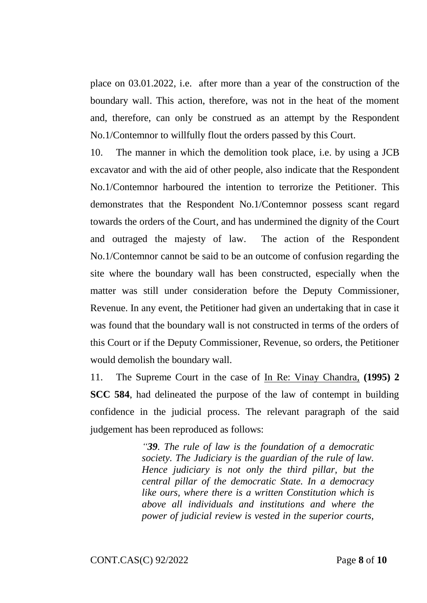place on 03.01.2022, i.e. after more than a year of the construction of the boundary wall. This action, therefore, was not in the heat of the moment and, therefore, can only be construed as an attempt by the Respondent No.1/Contemnor to willfully flout the orders passed by this Court.

10. The manner in which the demolition took place, i.e. by using a JCB excavator and with the aid of other people, also indicate that the Respondent No.1/Contemnor harboured the intention to terrorize the Petitioner. This demonstrates that the Respondent No.1/Contemnor possess scant regard towards the orders of the Court, and has undermined the dignity of the Court and outraged the majesty of law. The action of the Respondent No.1/Contemnor cannot be said to be an outcome of confusion regarding the site where the boundary wall has been constructed, especially when the matter was still under consideration before the Deputy Commissioner, Revenue. In any event, the Petitioner had given an undertaking that in case it was found that the boundary wall is not constructed in terms of the orders of this Court or if the Deputy Commissioner, Revenue, so orders, the Petitioner would demolish the boundary wall.

11. The Supreme Court in the case of In Re: Vinay Chandra, **(1995) 2 SCC 584**, had delineated the purpose of the law of contempt in building confidence in the judicial process. The relevant paragraph of the said judgement has been reproduced as follows:

> *"39. The rule of law is the foundation of a democratic society. The Judiciary is the guardian of the rule of law. Hence judiciary is not only the third pillar, but the central pillar of the democratic State. In a democracy like ours, where there is a written Constitution which is above all individuals and institutions and where the power of judicial review is vested in the superior courts,*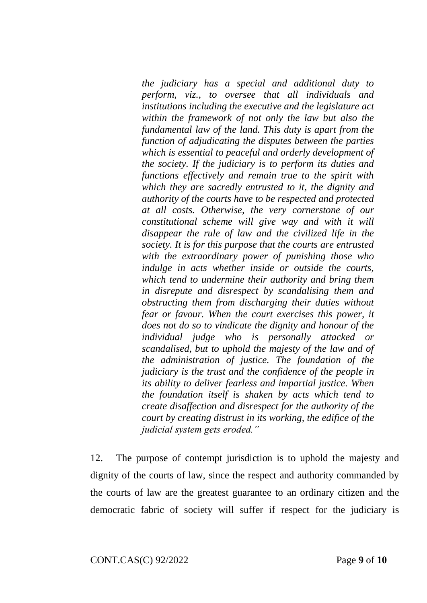*the judiciary has a special and additional duty to perform, viz., to oversee that all individuals and institutions including the executive and the legislature act within the framework of not only the law but also the fundamental law of the land. This duty is apart from the function of adjudicating the disputes between the parties which is essential to peaceful and orderly development of the society. If the judiciary is to perform its duties and functions effectively and remain true to the spirit with which they are sacredly entrusted to it, the dignity and authority of the courts have to be respected and protected at all costs. Otherwise, the very cornerstone of our constitutional scheme will give way and with it will disappear the rule of law and the civilized life in the society. It is for this purpose that the courts are entrusted with the extraordinary power of punishing those who indulge in acts whether inside or outside the courts, which tend to undermine their authority and bring them in disrepute and disrespect by scandalising them and obstructing them from discharging their duties without fear or favour. When the court exercises this power, it does not do so to vindicate the dignity and honour of the individual judge who is personally attacked or scandalised, but to uphold the majesty of the law and of the administration of justice. The foundation of the judiciary is the trust and the confidence of the people in its ability to deliver fearless and impartial justice. When the foundation itself is shaken by acts which tend to create disaffection and disrespect for the authority of the court by creating distrust in its working, the edifice of the judicial system gets eroded."*

12. The purpose of contempt jurisdiction is to uphold the majesty and dignity of the courts of law, since the respect and authority commanded by the courts of law are the greatest guarantee to an ordinary citizen and the democratic fabric of society will suffer if respect for the judiciary is